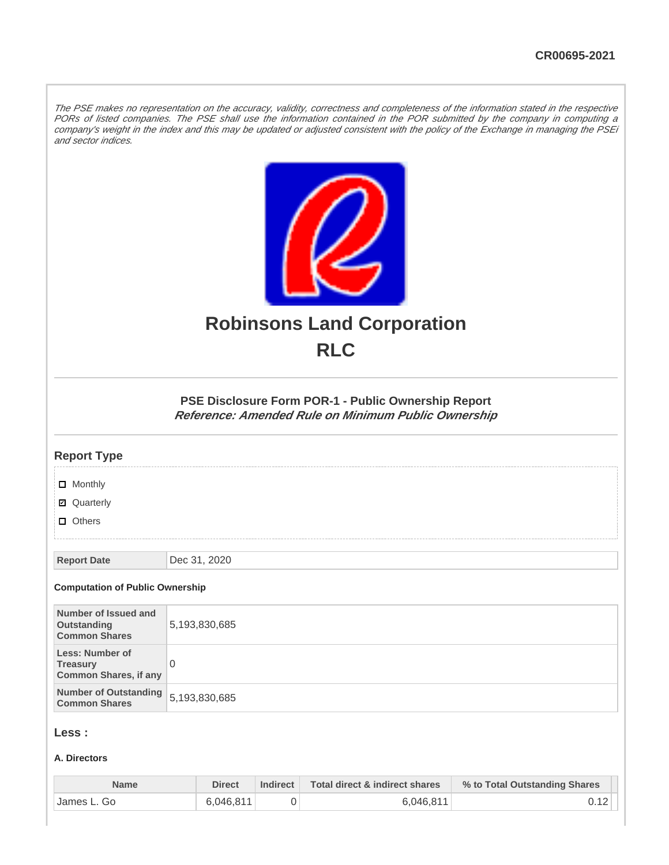The PSE makes no representation on the accuracy, validity, correctness and completeness of the information stated in the respective PORs of listed companies. The PSE shall use the information contained in the POR submitted by the company in computing a company's weight in the index and this may be updated or adjusted consistent with the policy of the Exchange in managing the PSEi and sector indices.



# **Robinsons Land Corporation RLC**

# **PSE Disclosure Form POR-1 - Public Ownership Report Reference: Amended Rule on Minimum Public Ownership**

# **Report Type**

**D** Monthly

■ Quarterly

**D** Others

**Report Date** Dec 31, 2020

#### **Computation of Public Ownership**

| Number of Issued and<br>Outstanding<br><b>Common Shares</b>        | 5,193,830,685 |
|--------------------------------------------------------------------|---------------|
| Less: Number of<br><b>Treasury</b><br><b>Common Shares, if any</b> |               |
| Number of Outstanding 5,193,830,685<br><b>Common Shares</b>        |               |

## **Less :**

## **A. Directors**

| <b>Name</b>  | <b>Direct</b> | Indirect $\ $ | Total direct & indirect shares | % to Total Outstanding Shares |
|--------------|---------------|---------------|--------------------------------|-------------------------------|
| ⊺James L. Go | 6.046.811     |               | 6.046.811                      |                               |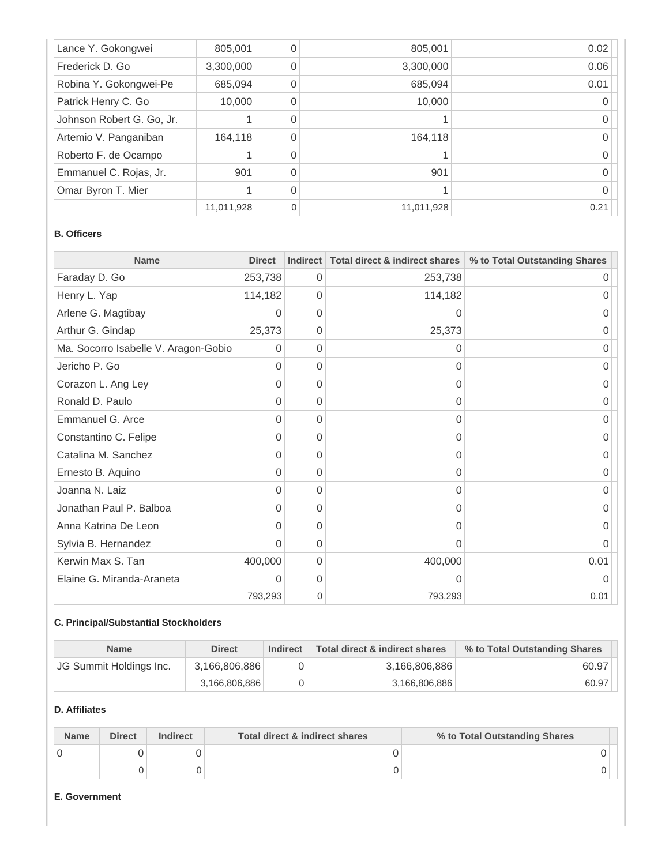| Lance Y. Gokongwei        | 805,001    |   | 805,001    | 0.02 |
|---------------------------|------------|---|------------|------|
| Frederick D. Go           | 3,300,000  |   | 3,300,000  | 0.06 |
| Robina Y. Gokongwei-Pe    | 685,094    |   | 685,094    | 0.01 |
| Patrick Henry C. Go       | 10,000     |   | 10,000     |      |
| Johnson Robert G. Go, Jr. |            |   |            |      |
| Artemio V. Panganiban     | 164,118    |   | 164,118    |      |
| Roberto F. de Ocampo      |            |   |            |      |
| Emmanuel C. Rojas, Jr.    | 901        |   | 901        |      |
| Omar Byron T. Mier        |            |   |            |      |
|                           | 11,011,928 | 0 | 11,011,928 | 0.21 |

# **B. Officers**

| <b>Name</b>                          | <b>Direct</b> | Indirect       | Total direct & indirect shares | % to Total Outstanding Shares |
|--------------------------------------|---------------|----------------|--------------------------------|-------------------------------|
| Faraday D. Go                        | 253,738       | 0              | 253,738                        | $\Omega$                      |
| Henry L. Yap                         | 114,182       | $\Omega$       | 114,182                        |                               |
| Arlene G. Magtibay                   | 0             | $\Omega$       | $\Omega$                       | ი                             |
| Arthur G. Gindap                     | 25,373        | 0              | 25,373                         | Ω                             |
| Ma. Socorro Isabelle V. Aragon-Gobio | 0             | $\Omega$       | 0                              | 0                             |
| Jericho P. Go                        | 0             | $\Omega$       | 0                              | 0                             |
| Corazon L. Ang Ley                   | 0             | $\overline{0}$ | 0                              | 0                             |
| Ronald D. Paulo                      | 0             | $\Omega$       | 0                              | 0                             |
| Emmanuel G. Arce                     | 0             | $\overline{0}$ | 0                              | 0                             |
| Constantino C. Felipe                | 0             | $\Omega$       | 0                              | $\Omega$                      |
| Catalina M. Sanchez                  | 0             | $\Omega$       | 0                              | O                             |
| Ernesto B. Aquino                    | 0             | $\Omega$       | 0                              | 0                             |
| Joanna N. Laiz                       | 0             | $\overline{0}$ | 0                              | 0                             |
| Jonathan Paul P. Balboa              | 0             | $\Omega$       | 0                              | Ω                             |
| Anna Katrina De Leon                 | 0             | $\Omega$       | 0                              | 0                             |
| Sylvia B. Hernandez                  | 0             | $\Omega$       | 0                              | 0                             |
| Kerwin Max S. Tan                    | 400,000       | $\overline{0}$ | 400,000                        | 0.01                          |
| Elaine G. Miranda-Araneta            | 0             | 0              | 0                              |                               |
|                                      | 793,293       | $\mathbf{0}$   | 793,293                        | 0.01                          |

# **C. Principal/Substantial Stockholders**

| <b>Name</b>             | <b>Direct</b> | Indirect | Total direct & indirect shares | % to Total Outstanding Shares |
|-------------------------|---------------|----------|--------------------------------|-------------------------------|
| JG Summit Holdings Inc. | 3,166,806,886 |          | 3,166,806,886                  | 60.97                         |
|                         | 3,166,806,886 |          | 3,166,806,886                  | 60.97                         |

# **D. Affiliates**

| <b>Name</b> | <b>Direct</b> | <b>Indirect</b> | Total direct & indirect shares | % to Total Outstanding Shares |  |
|-------------|---------------|-----------------|--------------------------------|-------------------------------|--|
|             |               |                 |                                |                               |  |
|             |               |                 |                                |                               |  |

### **E. Government**